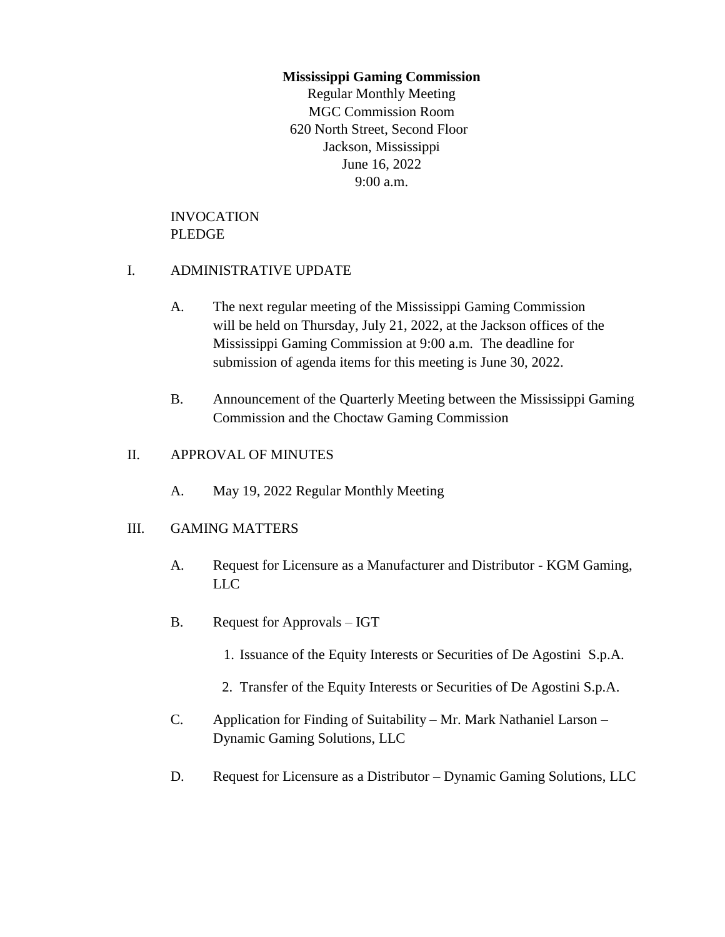### **Mississippi Gaming Commission**

Regular Monthly Meeting MGC Commission Room 620 North Street, Second Floor Jackson, Mississippi June 16, 2022 9:00 a.m.

## INVOCATION PLEDGE

# I. ADMINISTRATIVE UPDATE

- A. The next regular meeting of the Mississippi Gaming Commission will be held on Thursday, July 21, 2022, at the Jackson offices of the Mississippi Gaming Commission at 9:00 a.m. The deadline for submission of agenda items for this meeting is June 30, 2022.
- B. Announcement of the Quarterly Meeting between the Mississippi Gaming Commission and the Choctaw Gaming Commission

### II. APPROVAL OF MINUTES

A. May 19, 2022 Regular Monthly Meeting

# III. GAMING MATTERS

- A. Request for Licensure as a Manufacturer and Distributor KGM Gaming, LLC
- B. Request for Approvals IGT
	- 1. Issuance of the Equity Interests or Securities of De Agostini S.p.A.
	- 2. Transfer of the Equity Interests or Securities of De Agostini S.p.A.
- C. Application for Finding of Suitability Mr. Mark Nathaniel Larson Dynamic Gaming Solutions, LLC
- D. Request for Licensure as a Distributor Dynamic Gaming Solutions, LLC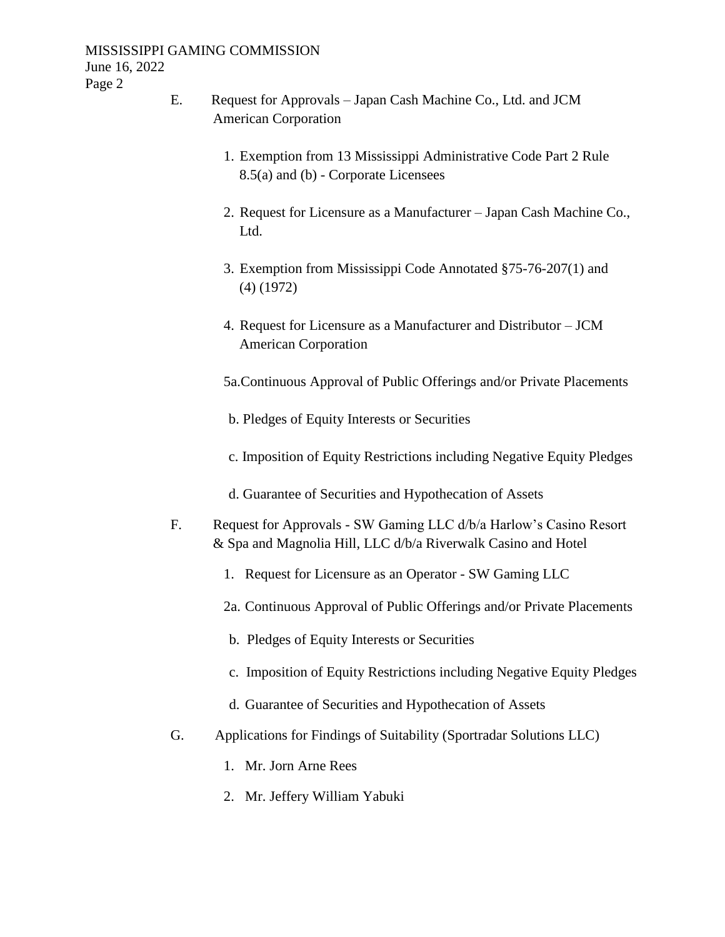#### MISSISSIPPI GAMING COMMISSION June 16, 2022 Page 2

- E. Request for Approvals Japan Cash Machine Co., Ltd. and JCM American Corporation
	- 1. Exemption from 13 Mississippi Administrative Code Part 2 Rule 8.5(a) and (b) - Corporate Licensees
	- 2. Request for Licensure as a Manufacturer Japan Cash Machine Co., Ltd.
	- 3. Exemption from Mississippi Code Annotated §75-76-207(1) and (4) (1972)
	- 4. Request for Licensure as a Manufacturer and Distributor JCM American Corporation

5a.Continuous Approval of Public Offerings and/or Private Placements

- b. Pledges of Equity Interests or Securities
- c. Imposition of Equity Restrictions including Negative Equity Pledges
- d. Guarantee of Securities and Hypothecation of Assets
- F. Request for Approvals SW Gaming LLC d/b/a Harlow's Casino Resort & Spa and Magnolia Hill, LLC d/b/a Riverwalk Casino and Hotel
	- 1. Request for Licensure as an Operator SW Gaming LLC
	- 2a. Continuous Approval of Public Offerings and/or Private Placements
	- b. Pledges of Equity Interests or Securities
	- c. Imposition of Equity Restrictions including Negative Equity Pledges
	- d. Guarantee of Securities and Hypothecation of Assets
- G. Applications for Findings of Suitability (Sportradar Solutions LLC)
	- 1. Mr. Jorn Arne Rees
	- 2. Mr. Jeffery William Yabuki